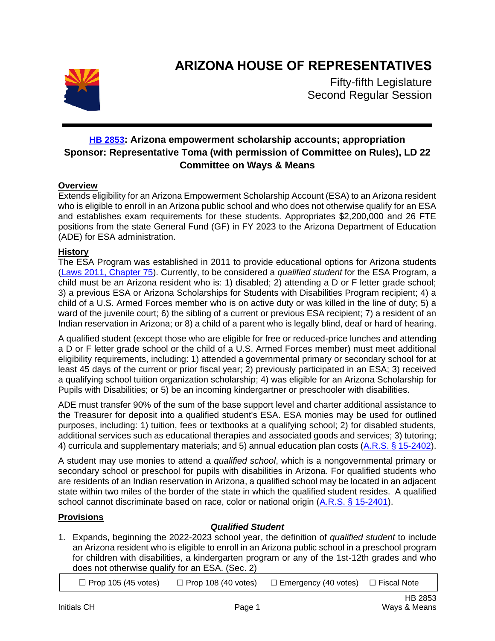

# **ARIZONA HOUSE OF REPRESENTATIVES**

Fifty-fifth Legislature Second Regular Session

# **[HB 2853](https://apps.azleg.gov/BillStatus/BillOverview/77976): Arizona empowerment scholarship accounts; appropriation Sponsor: Representative Toma (with permission of Committee on Rules), LD 22 Committee on Ways & Means**

## **Overview**

Extends eligibility for an Arizona Empowerment Scholarship Account (ESA) to an Arizona resident who is eligible to enroll in an Arizona public school and who does not otherwise qualify for an ESA and establishes exam requirements for these students. Appropriates \$2,200,000 and 26 FTE positions from the state General Fund (GF) in FY 2023 to the Arizona Department of Education (ADE) for ESA administration.

## **History**

The ESA Program was established in 2011 to provide educational options for Arizona students [\(Laws 2011, Chapter 75\)](https://www.azleg.gov/legtext/50Leg/1R/laws/0075.pdf). Currently, to be considered a *qualified student* for the ESA Program, a child must be an Arizona resident who is: 1) disabled; 2) attending a D or F letter grade school; 3) a previous ESA or Arizona Scholarships for Students with Disabilities Program recipient; 4) a child of a U.S. Armed Forces member who is on active duty or was killed in the line of duty; 5) a ward of the juvenile court; 6) the sibling of a current or previous ESA recipient; 7) a resident of an Indian reservation in Arizona; or 8) a child of a parent who is legally blind, deaf or hard of hearing.

A qualified student (except those who are eligible for free or reduced-price lunches and attending a D or F letter grade school or the child of a U.S. Armed Forces member) must meet additional eligibility requirements, including: 1) attended a governmental primary or secondary school for at least 45 days of the current or prior fiscal year; 2) previously participated in an ESA; 3) received a qualifying school tuition organization scholarship; 4) was eligible for an Arizona Scholarship for Pupils with Disabilities; or 5) be an incoming kindergartner or preschooler with disabilities.

ADE must transfer 90% of the sum of the base support level and charter additional assistance to the Treasurer for deposit into a qualified student's ESA. ESA monies may be used for outlined purposes, including: 1) tuition, fees or textbooks at a qualifying school; 2) for disabled students, additional services such as educational therapies and associated goods and services; 3) tutoring; 4) curricula and supplementary materials; and 5) annual education plan costs [\(A.R.S. § 15-2402\)](https://www.azleg.gov/viewdocument/?docName=https://www.azleg.gov/ars/15/02402.htm).

A student may use monies to attend a *qualified school*, which is a nongovernmental primary or secondary school or preschool for pupils with disabilities in Arizona. For qualified students who are residents of an Indian reservation in Arizona, a qualified school may be located in an adjacent state within two miles of the border of the state in which the qualified student resides. A qualified school cannot discriminate based on race, color or national origin [\(A.R.S. § 15-2401\)](https://www.azleg.gov/viewdocument/?docName=https://www.azleg.gov/ars/15/02401.htm).

## **Provisions**

# *Qualified Student*

1. Expands, beginning the 2022-2023 school year, the definition of *qualified student* to include an Arizona resident who is eligible to enroll in an Arizona public school in a preschool program for children with disabilities, a kindergarten program or any of the 1st-12th grades and who does not otherwise qualify for an ESA. (Sec. 2)

 $\Box$  Prop 105 (45 votes)  $\Box$  Prop 108 (40 votes)  $\Box$  Emergency (40 votes)  $\Box$  Fiscal Note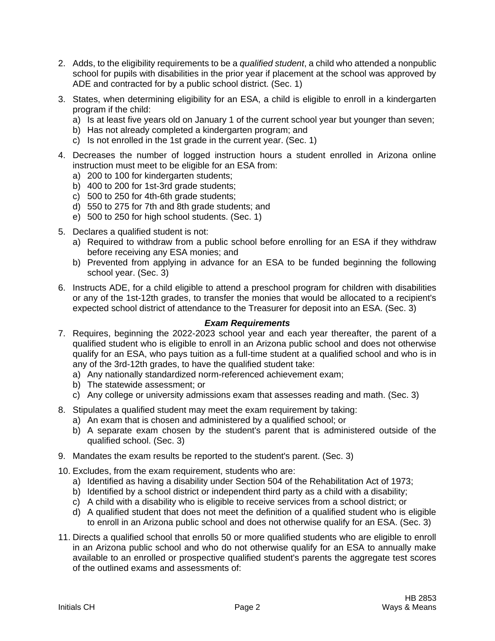- 2. Adds, to the eligibility requirements to be a *qualified student*, a child who attended a nonpublic school for pupils with disabilities in the prior year if placement at the school was approved by ADE and contracted for by a public school district. (Sec. 1)
- 3. States, when determining eligibility for an ESA, a child is eligible to enroll in a kindergarten program if the child:
	- a) Is at least five years old on January 1 of the current school year but younger than seven;
	- b) Has not already completed a kindergarten program; and
	- c) Is not enrolled in the 1st grade in the current year. (Sec. 1)
- 4. Decreases the number of logged instruction hours a student enrolled in Arizona online instruction must meet to be eligible for an ESA from:
	- a) 200 to 100 for kindergarten students;
	- b) 400 to 200 for 1st-3rd grade students;
	- c) 500 to 250 for 4th-6th grade students;
	- d) 550 to 275 for 7th and 8th grade students; and
	- e) 500 to 250 for high school students. (Sec. 1)
- 5. Declares a qualified student is not:
	- a) Required to withdraw from a public school before enrolling for an ESA if they withdraw before receiving any ESA monies; and
	- b) Prevented from applying in advance for an ESA to be funded beginning the following school year. (Sec. 3)
- 6. Instructs ADE, for a child eligible to attend a preschool program for children with disabilities or any of the 1st-12th grades, to transfer the monies that would be allocated to a recipient's expected school district of attendance to the Treasurer for deposit into an ESA. (Sec. 3)

#### *Exam Requirements*

- 7. Requires, beginning the 2022-2023 school year and each year thereafter, the parent of a qualified student who is eligible to enroll in an Arizona public school and does not otherwise qualify for an ESA, who pays tuition as a full-time student at a qualified school and who is in any of the 3rd-12th grades, to have the qualified student take:
	- a) Any nationally standardized norm-referenced achievement exam;
	- b) The statewide assessment; or
	- c) Any college or university admissions exam that assesses reading and math. (Sec. 3)
- 8. Stipulates a qualified student may meet the exam requirement by taking:
	- a) An exam that is chosen and administered by a qualified school; or
	- b) A separate exam chosen by the student's parent that is administered outside of the qualified school. (Sec. 3)
- 9. Mandates the exam results be reported to the student's parent. (Sec. 3)
- 10. Excludes, from the exam requirement, students who are:
	- a) Identified as having a disability under Section 504 of the Rehabilitation Act of 1973;
	- b) Identified by a school district or independent third party as a child with a disability;
	- c) A child with a disability who is eligible to receive services from a school district; or
	- d) A qualified student that does not meet the definition of a qualified student who is eligible to enroll in an Arizona public school and does not otherwise qualify for an ESA. (Sec. 3)
- 11. Directs a qualified school that enrolls 50 or more qualified students who are eligible to enroll in an Arizona public school and who do not otherwise qualify for an ESA to annually make available to an enrolled or prospective qualified student's parents the aggregate test scores of the outlined exams and assessments of: